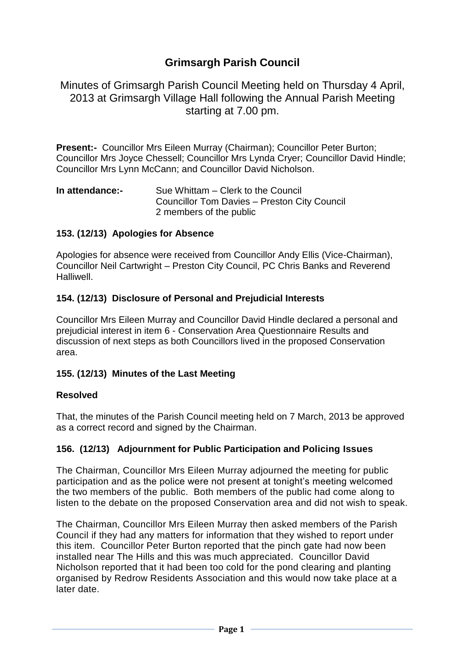# **Grimsargh Parish Council**

Minutes of Grimsargh Parish Council Meeting held on Thursday 4 April, 2013 at Grimsargh Village Hall following the Annual Parish Meeting starting at 7.00 pm.

**Present:-** Councillor Mrs Eileen Murray (Chairman); Councillor Peter Burton; Councillor Mrs Joyce Chessell; Councillor Mrs Lynda Cryer; Councillor David Hindle; Councillor Mrs Lynn McCann; and Councillor David Nicholson.

**In attendance:-** Sue Whittam – Clerk to the Council Councillor Tom Davies – Preston City Council 2 members of the public

### **153. (12/13) Apologies for Absence**

Apologies for absence were received from Councillor Andy Ellis (Vice-Chairman), Councillor Neil Cartwright – Preston City Council, PC Chris Banks and Reverend Halliwell.

#### **154. (12/13) Disclosure of Personal and Prejudicial Interests**

Councillor Mrs Eileen Murray and Councillor David Hindle declared a personal and prejudicial interest in item 6 - Conservation Area Questionnaire Results and discussion of next steps as both Councillors lived in the proposed Conservation area.

#### **155. (12/13) Minutes of the Last Meeting**

#### **Resolved**

That, the minutes of the Parish Council meeting held on 7 March, 2013 be approved as a correct record and signed by the Chairman.

#### **156. (12/13) Adjournment for Public Participation and Policing Issues**

The Chairman, Councillor Mrs Eileen Murray adjourned the meeting for public participation and as the police were not present at tonight's meeting welcomed the two members of the public. Both members of the public had come along to listen to the debate on the proposed Conservation area and did not wish to speak.

The Chairman, Councillor Mrs Eileen Murray then asked members of the Parish Council if they had any matters for information that they wished to report under this item. Councillor Peter Burton reported that the pinch gate had now been installed near The Hills and this was much appreciated. Councillor David Nicholson reported that it had been too cold for the pond clearing and planting organised by Redrow Residents Association and this would now take place at a later date.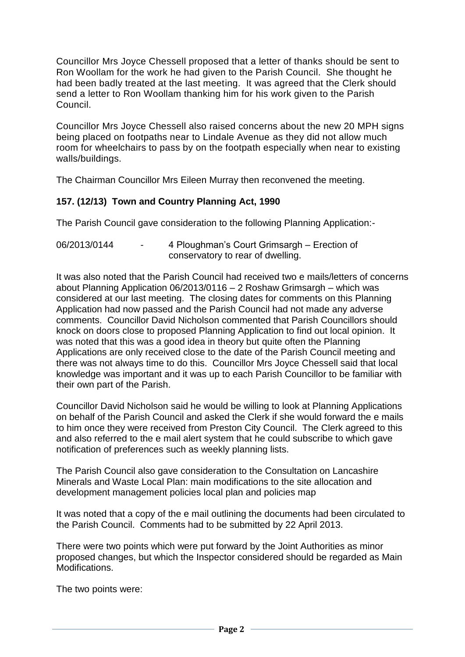Councillor Mrs Joyce Chessell proposed that a letter of thanks should be sent to Ron Woollam for the work he had given to the Parish Council. She thought he had been badly treated at the last meeting. It was agreed that the Clerk should send a letter to Ron Woollam thanking him for his work given to the Parish Council.

Councillor Mrs Joyce Chessell also raised concerns about the new 20 MPH signs being placed on footpaths near to Lindale Avenue as they did not allow much room for wheelchairs to pass by on the footpath especially when near to existing walls/buildings.

The Chairman Councillor Mrs Eileen Murray then reconvened the meeting.

## **157. (12/13) Town and Country Planning Act, 1990**

The Parish Council gave consideration to the following Planning Application:-

06/2013/0144 - 4 Ploughman's Court Grimsargh – Erection of conservatory to rear of dwelling.

It was also noted that the Parish Council had received two e mails/letters of concerns about Planning Application 06/2013/0116 – 2 Roshaw Grimsargh – which was considered at our last meeting. The closing dates for comments on this Planning Application had now passed and the Parish Council had not made any adverse comments. Councillor David Nicholson commented that Parish Councillors should knock on doors close to proposed Planning Application to find out local opinion. It was noted that this was a good idea in theory but quite often the Planning Applications are only received close to the date of the Parish Council meeting and there was not always time to do this. Councillor Mrs Joyce Chessell said that local knowledge was important and it was up to each Parish Councillor to be familiar with their own part of the Parish.

Councillor David Nicholson said he would be willing to look at Planning Applications on behalf of the Parish Council and asked the Clerk if she would forward the e mails to him once they were received from Preston City Council. The Clerk agreed to this and also referred to the e mail alert system that he could subscribe to which gave notification of preferences such as weekly planning lists.

The Parish Council also gave consideration to the Consultation on Lancashire Minerals and Waste Local Plan: main modifications to the site allocation and development management policies local plan and policies map

It was noted that a copy of the e mail outlining the documents had been circulated to the Parish Council. Comments had to be submitted by 22 April 2013.

There were two points which were put forward by the Joint Authorities as minor proposed changes, but which the Inspector considered should be regarded as Main Modifications.

The two points were: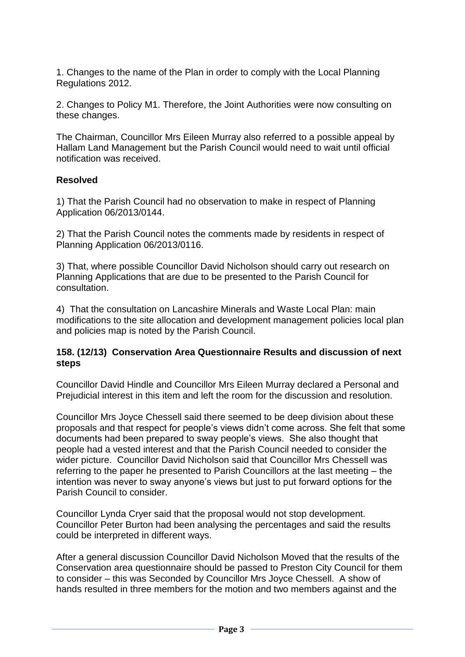1. Changes to the name of the Plan in order to comply with the Local Planning Regulations 2012.

2. Changes to Policy M1. Therefore, the Joint Authorities were now consulting on these changes.

The Chairman, Councillor Mrs Eileen Murray also referred to a possible appeal by Hallam Land Management but the Parish Council would need to wait until official notification was received.

### **Resolved**

1) That the Parish Council had no observation to make in respect of Planning Application 06/2013/0144.

2) That the Parish Council notes the comments made by residents in respect of Planning Application 06/2013/0116.

3) That, where possible Councillor David Nicholson should carry out research on Planning Applications that are due to be presented to the Parish Council for consultation.

4) That the consultation on Lancashire Minerals and Waste Local Plan: main modifications to the site allocation and development management policies local plan and policies map is noted by the Parish Council.

#### **158. (12/13) Conservation Area Questionnaire Results and discussion of next steps**

Councillor David Hindle and Councillor Mrs Eileen Murray declared a Personal and Prejudicial interest in this item and left the room for the discussion and resolution.

Councillor Mrs Joyce Chessell said there seemed to be deep division about these proposals and that respect for people's views didn't come across. She felt that some documents had been prepared to sway people's views. She also thought that people had a vested interest and that the Parish Council needed to consider the wider picture. Councillor David Nicholson said that Councillor Mrs Chessell was referring to the paper he presented to Parish Councillors at the last meeting – the intention was never to sway anyone's views but just to put forward options for the Parish Council to consider.

Councillor Lynda Cryer said that the proposal would not stop development. Councillor Peter Burton had been analysing the percentages and said the results could be interpreted in different ways.

After a general discussion Councillor David Nicholson Moved that the results of the Conservation area questionnaire should be passed to Preston City Council for them to consider – this was Seconded by Councillor Mrs Joyce Chessell. A show of hands resulted in three members for the motion and two members against and the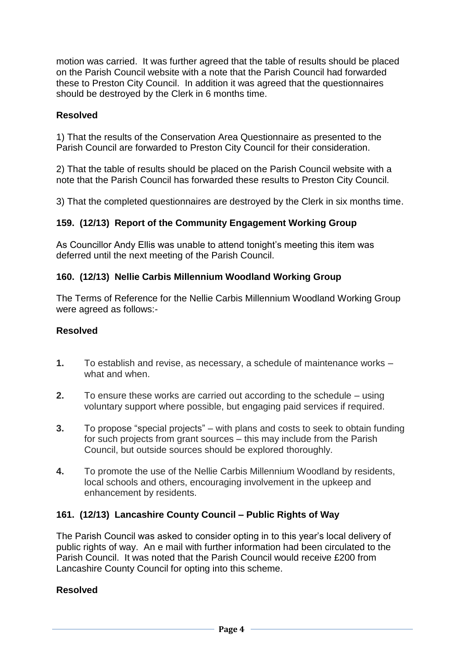motion was carried. It was further agreed that the table of results should be placed on the Parish Council website with a note that the Parish Council had forwarded these to Preston City Council. In addition it was agreed that the questionnaires should be destroyed by the Clerk in 6 months time.

## **Resolved**

1) That the results of the Conservation Area Questionnaire as presented to the Parish Council are forwarded to Preston City Council for their consideration.

2) That the table of results should be placed on the Parish Council website with a note that the Parish Council has forwarded these results to Preston City Council.

3) That the completed questionnaires are destroyed by the Clerk in six months time.

## **159. (12/13) Report of the Community Engagement Working Group**

As Councillor Andy Ellis was unable to attend tonight's meeting this item was deferred until the next meeting of the Parish Council.

### **160. (12/13) Nellie Carbis Millennium Woodland Working Group**

The Terms of Reference for the Nellie Carbis Millennium Woodland Working Group were agreed as follows:-

#### **Resolved**

- **1.** To establish and revise, as necessary, a schedule of maintenance works what and when.
- **2.** To ensure these works are carried out according to the schedule using voluntary support where possible, but engaging paid services if required.
- **3.** To propose "special projects" with plans and costs to seek to obtain funding for such projects from grant sources – this may include from the Parish Council, but outside sources should be explored thoroughly.
- **4.** To promote the use of the Nellie Carbis Millennium Woodland by residents, local schools and others, encouraging involvement in the upkeep and enhancement by residents.

## **161. (12/13) Lancashire County Council – Public Rights of Way**

The Parish Council was asked to consider opting in to this year's local delivery of public rights of way. An e mail with further information had been circulated to the Parish Council. It was noted that the Parish Council would receive £200 from Lancashire County Council for opting into this scheme.

#### **Resolved**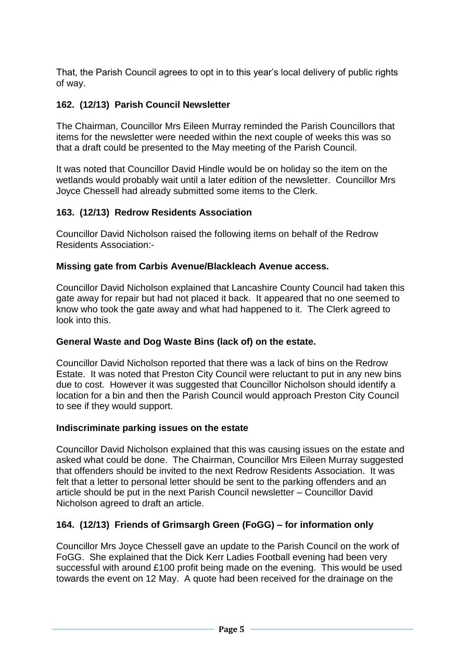That, the Parish Council agrees to opt in to this year's local delivery of public rights of way.

# **162. (12/13) Parish Council Newsletter**

The Chairman, Councillor Mrs Eileen Murray reminded the Parish Councillors that items for the newsletter were needed within the next couple of weeks this was so that a draft could be presented to the May meeting of the Parish Council.

It was noted that Councillor David Hindle would be on holiday so the item on the wetlands would probably wait until a later edition of the newsletter. Councillor Mrs Joyce Chessell had already submitted some items to the Clerk.

## **163. (12/13) Redrow Residents Association**

Councillor David Nicholson raised the following items on behalf of the Redrow Residents Association:-

#### **Missing gate from Carbis Avenue/Blackleach Avenue access.**

Councillor David Nicholson explained that Lancashire County Council had taken this gate away for repair but had not placed it back. It appeared that no one seemed to know who took the gate away and what had happened to it. The Clerk agreed to look into this.

#### **General Waste and Dog Waste Bins (lack of) on the estate.**

Councillor David Nicholson reported that there was a lack of bins on the Redrow Estate. It was noted that Preston City Council were reluctant to put in any new bins due to cost. However it was suggested that Councillor Nicholson should identify a location for a bin and then the Parish Council would approach Preston City Council to see if they would support.

#### **Indiscriminate parking issues on the estate**

Councillor David Nicholson explained that this was causing issues on the estate and asked what could be done. The Chairman, Councillor Mrs Eileen Murray suggested that offenders should be invited to the next Redrow Residents Association. It was felt that a letter to personal letter should be sent to the parking offenders and an article should be put in the next Parish Council newsletter – Councillor David Nicholson agreed to draft an article.

## **164. (12/13) Friends of Grimsargh Green (FoGG) – for information only**

Councillor Mrs Joyce Chessell gave an update to the Parish Council on the work of FoGG. She explained that the Dick Kerr Ladies Football evening had been very successful with around £100 profit being made on the evening. This would be used towards the event on 12 May. A quote had been received for the drainage on the